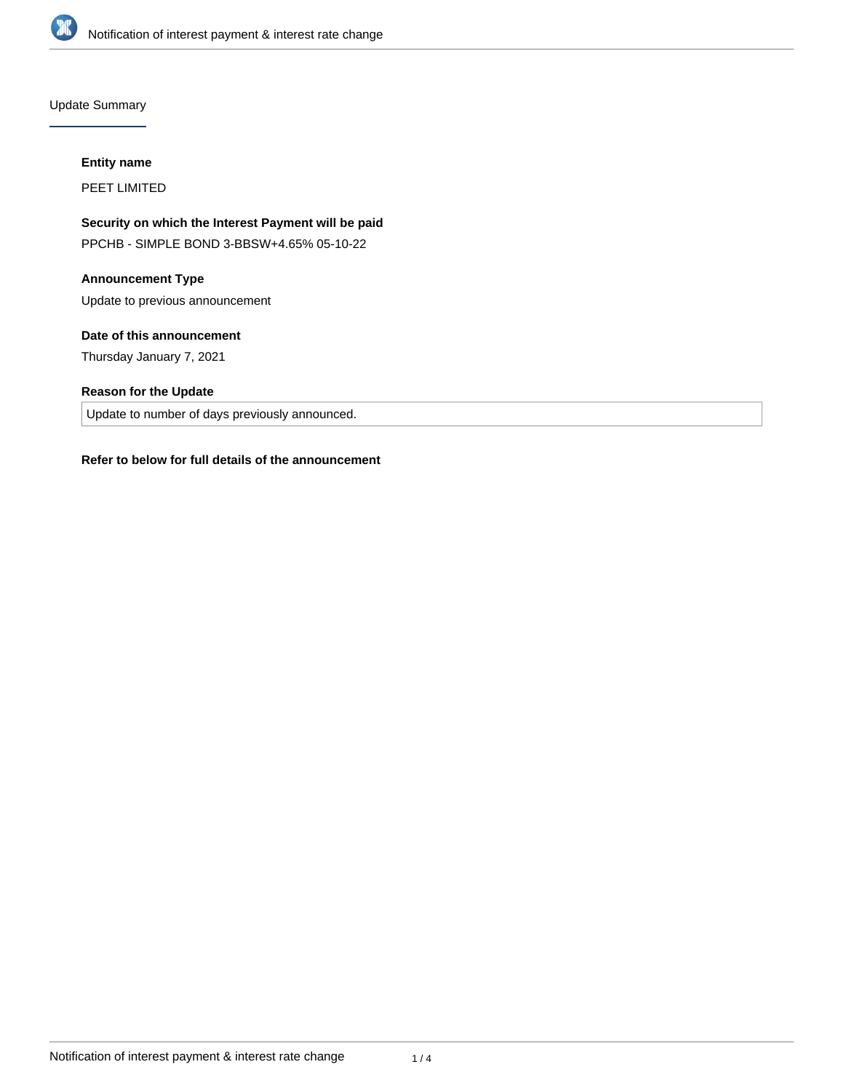

Update Summary

# **Entity name**

PEET LIMITED

# **Security on which the Interest Payment will be paid**

PPCHB - SIMPLE BOND 3-BBSW+4.65% 05-10-22

#### **Announcement Type**

Update to previous announcement

# **Date of this announcement**

Thursday January 7, 2021

# **Reason for the Update**

Update to number of days previously announced.

### **Refer to below for full details of the announcement**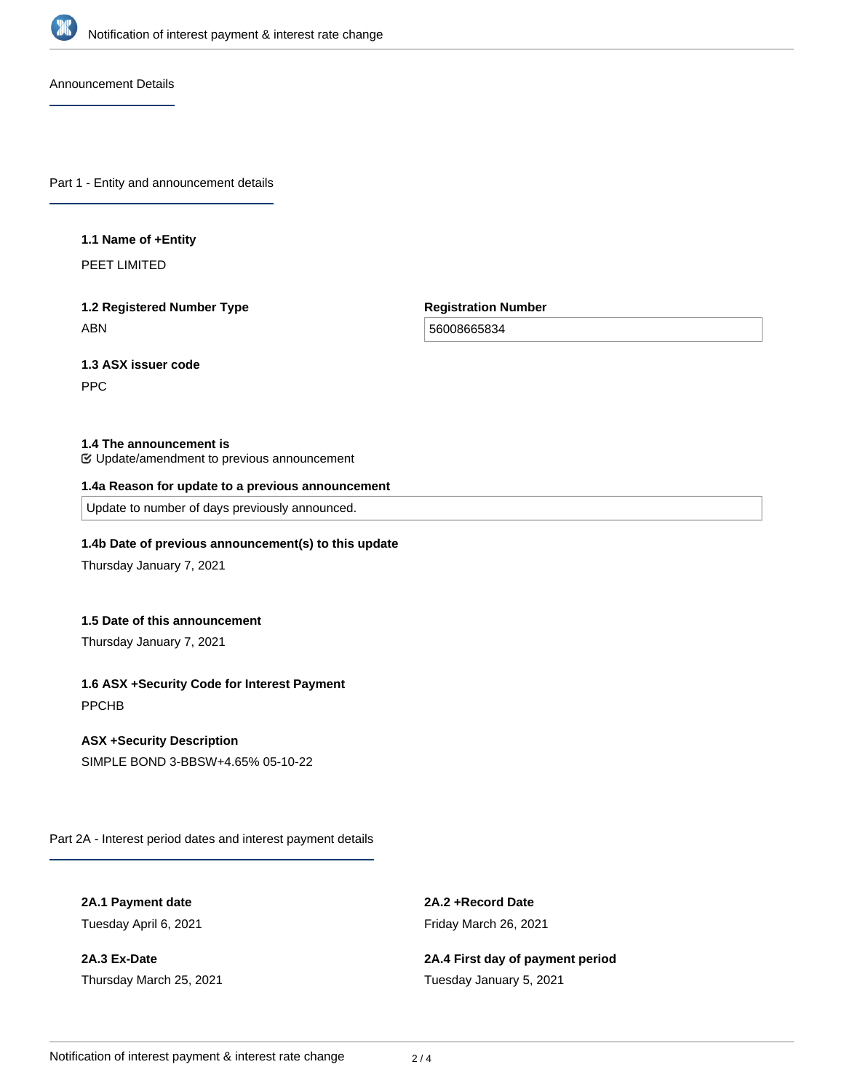

Announcement Details

Part 1 - Entity and announcement details

#### **1.1 Name of +Entity**

PEET LIMITED

# **1.2 Registered Number Type** ABN

**Registration Number**

56008665834

**1.3 ASX issuer code**

PPC

### **1.4 The announcement is**

Update/amendment to previous announcement

#### **1.4a Reason for update to a previous announcement**

Update to number of days previously announced.

# **1.4b Date of previous announcement(s) to this update**

Thursday January 7, 2021

# **1.5 Date of this announcement**

Thursday January 7, 2021

### **1.6 ASX +Security Code for Interest Payment**

PPCHB

### **ASX +Security Description**

SIMPLE BOND 3-BBSW+4.65% 05-10-22

Part 2A - Interest period dates and interest payment details

**2A.1 Payment date** Tuesday April 6, 2021

**2A.3 Ex-Date** Thursday March 25, 2021 **2A.2 +Record Date** Friday March 26, 2021

**2A.4 First day of payment period** Tuesday January 5, 2021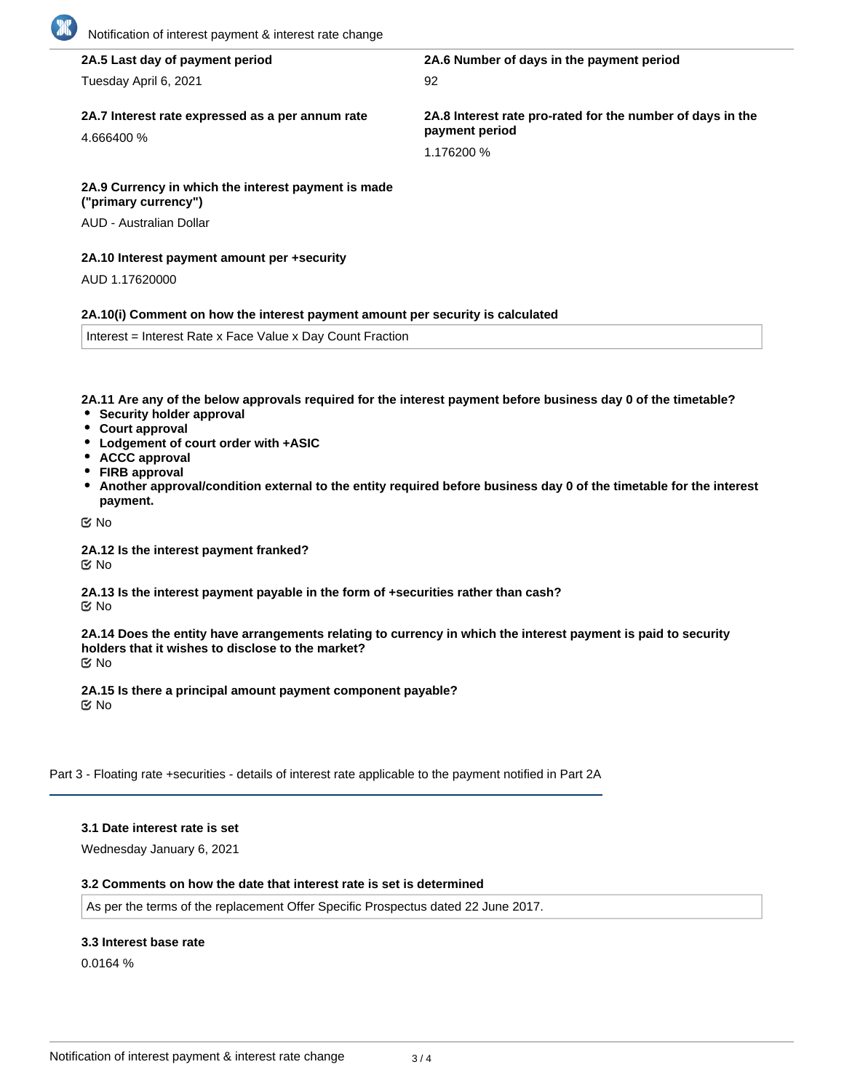| 2A.5 Last day of payment period                                                | 2A.6 Number of days in the payment period                                    |
|--------------------------------------------------------------------------------|------------------------------------------------------------------------------|
| Tuesday April 6, 2021                                                          | 92                                                                           |
| 2A.7 Interest rate expressed as a per annum rate<br>4.666400 %                 | 2A.8 Interest rate pro-rated for the number of days in the<br>payment period |
|                                                                                | 1.176200 %                                                                   |
| 2A.9 Currency in which the interest payment is made<br>("primary currency")    |                                                                              |
| AUD - Australian Dollar                                                        |                                                                              |
| 2A.10 Interest payment amount per +security                                    |                                                                              |
| AUD 1.17620000                                                                 |                                                                              |
| 2A.10(i) Comment on how the interest payment amount per security is calculated |                                                                              |

**2A.11 Are any of the below approvals required for the interest payment before business day 0 of the timetable?**

- **Security holder approval**
- **Court approval**
- **Lodgement of court order with +ASIC**
- **ACCC approval**
- **FIRB approval**
- **Another approval/condition external to the entity required before business day 0 of the timetable for the interest payment.**

No

**2A.12 Is the interest payment franked?** No

**2A.13 Is the interest payment payable in the form of +securities rather than cash?** No

**2A.14 Does the entity have arrangements relating to currency in which the interest payment is paid to security holders that it wishes to disclose to the market?** No

**2A.15 Is there a principal amount payment component payable?** No

Part 3 - Floating rate +securities - details of interest rate applicable to the payment notified in Part 2A

### **3.1 Date interest rate is set**

Wednesday January 6, 2021

#### **3.2 Comments on how the date that interest rate is set is determined**

As per the terms of the replacement Offer Specific Prospectus dated 22 June 2017.

#### **3.3 Interest base rate**

0.0164 %